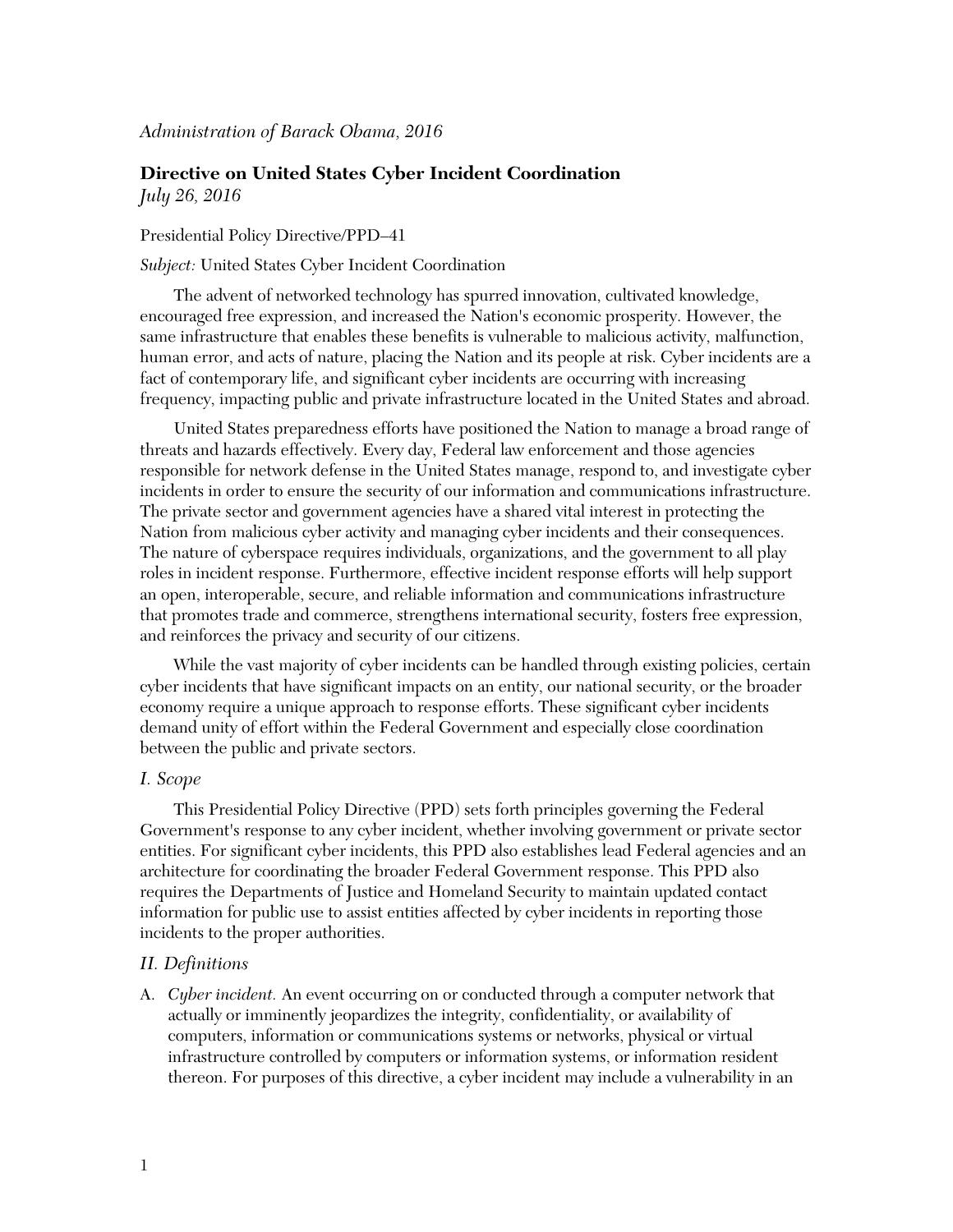# **Directive on United States Cyber Incident Coordination** *July 26, 2016*

### Presidential Policy Directive/PPD–41

### *Subject:* United States Cyber Incident Coordination

The advent of networked technology has spurred innovation, cultivated knowledge, encouraged free expression, and increased the Nation's economic prosperity. However, the same infrastructure that enables these benefits is vulnerable to malicious activity, malfunction, human error, and acts of nature, placing the Nation and its people at risk. Cyber incidents are a fact of contemporary life, and significant cyber incidents are occurring with increasing frequency, impacting public and private infrastructure located in the United States and abroad.

United States preparedness efforts have positioned the Nation to manage a broad range of threats and hazards effectively. Every day, Federal law enforcement and those agencies responsible for network defense in the United States manage, respond to, and investigate cyber incidents in order to ensure the security of our information and communications infrastructure. The private sector and government agencies have a shared vital interest in protecting the Nation from malicious cyber activity and managing cyber incidents and their consequences. The nature of cyberspace requires individuals, organizations, and the government to all play roles in incident response. Furthermore, effective incident response efforts will help support an open, interoperable, secure, and reliable information and communications infrastructure that promotes trade and commerce, strengthens international security, fosters free expression, and reinforces the privacy and security of our citizens.

While the vast majority of cyber incidents can be handled through existing policies, certain cyber incidents that have significant impacts on an entity, our national security, or the broader economy require a unique approach to response efforts. These significant cyber incidents demand unity of effort within the Federal Government and especially close coordination between the public and private sectors.

### *I. Scope*

This Presidential Policy Directive (PPD) sets forth principles governing the Federal Government's response to any cyber incident, whether involving government or private sector entities. For significant cyber incidents, this PPD also establishes lead Federal agencies and an architecture for coordinating the broader Federal Government response. This PPD also requires the Departments of Justice and Homeland Security to maintain updated contact information for public use to assist entities affected by cyber incidents in reporting those incidents to the proper authorities.

### *II. Definitions*

A. *Cyber incident.* An event occurring on or conducted through a computer network that actually or imminently jeopardizes the integrity, confidentiality, or availability of computers, information or communications systems or networks, physical or virtual infrastructure controlled by computers or information systems, or information resident thereon. For purposes of this directive, a cyber incident may include a vulnerability in an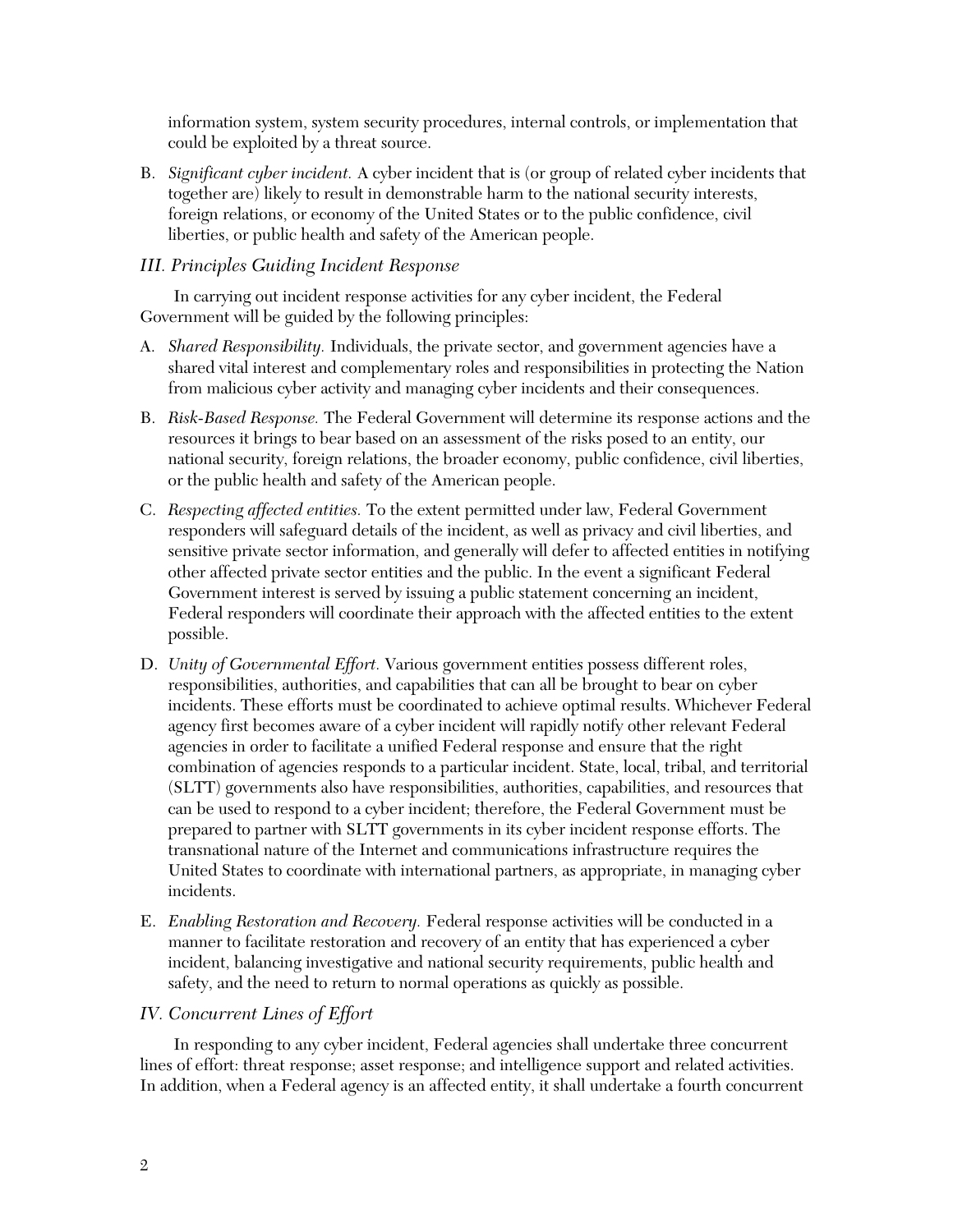information system, system security procedures, internal controls, or implementation that could be exploited by a threat source.

B. *Significant cyber incident.* A cyber incident that is (or group of related cyber incidents that together are) likely to result in demonstrable harm to the national security interests, foreign relations, or economy of the United States or to the public confidence, civil liberties, or public health and safety of the American people.

## *III. Principles Guiding Incident Response*

In carrying out incident response activities for any cyber incident, the Federal Government will be guided by the following principles:

- A. *Shared Responsibility.* Individuals, the private sector, and government agencies have a shared vital interest and complementary roles and responsibilities in protecting the Nation from malicious cyber activity and managing cyber incidents and their consequences.
- B. *Risk-Based Response.* The Federal Government will determine its response actions and the resources it brings to bear based on an assessment of the risks posed to an entity, our national security, foreign relations, the broader economy, public confidence, civil liberties, or the public health and safety of the American people.
- C. *Respecting affected entities.* To the extent permitted under law, Federal Government responders will safeguard details of the incident, as well as privacy and civil liberties, and sensitive private sector information, and generally will defer to affected entities in notifying other affected private sector entities and the public. In the event a significant Federal Government interest is served by issuing a public statement concerning an incident, Federal responders will coordinate their approach with the affected entities to the extent possible.
- D. *Unity of Governmental Effort.* Various government entities possess different roles, responsibilities, authorities, and capabilities that can all be brought to bear on cyber incidents. These efforts must be coordinated to achieve optimal results. Whichever Federal agency first becomes aware of a cyber incident will rapidly notify other relevant Federal agencies in order to facilitate a unified Federal response and ensure that the right combination of agencies responds to a particular incident. State, local, tribal, and territorial (SLTT) governments also have responsibilities, authorities, capabilities, and resources that can be used to respond to a cyber incident; therefore, the Federal Government must be prepared to partner with SLTT governments in its cyber incident response efforts. The transnational nature of the Internet and communications infrastructure requires the United States to coordinate with international partners, as appropriate, in managing cyber incidents.
- E. *Enabling Restoration and Recovery.* Federal response activities will be conducted in a manner to facilitate restoration and recovery of an entity that has experienced a cyber incident, balancing investigative and national security requirements, public health and safety, and the need to return to normal operations as quickly as possible.

### *IV. Concurrent Lines of Effort*

In responding to any cyber incident, Federal agencies shall undertake three concurrent lines of effort: threat response; asset response; and intelligence support and related activities. In addition, when a Federal agency is an affected entity, it shall undertake a fourth concurrent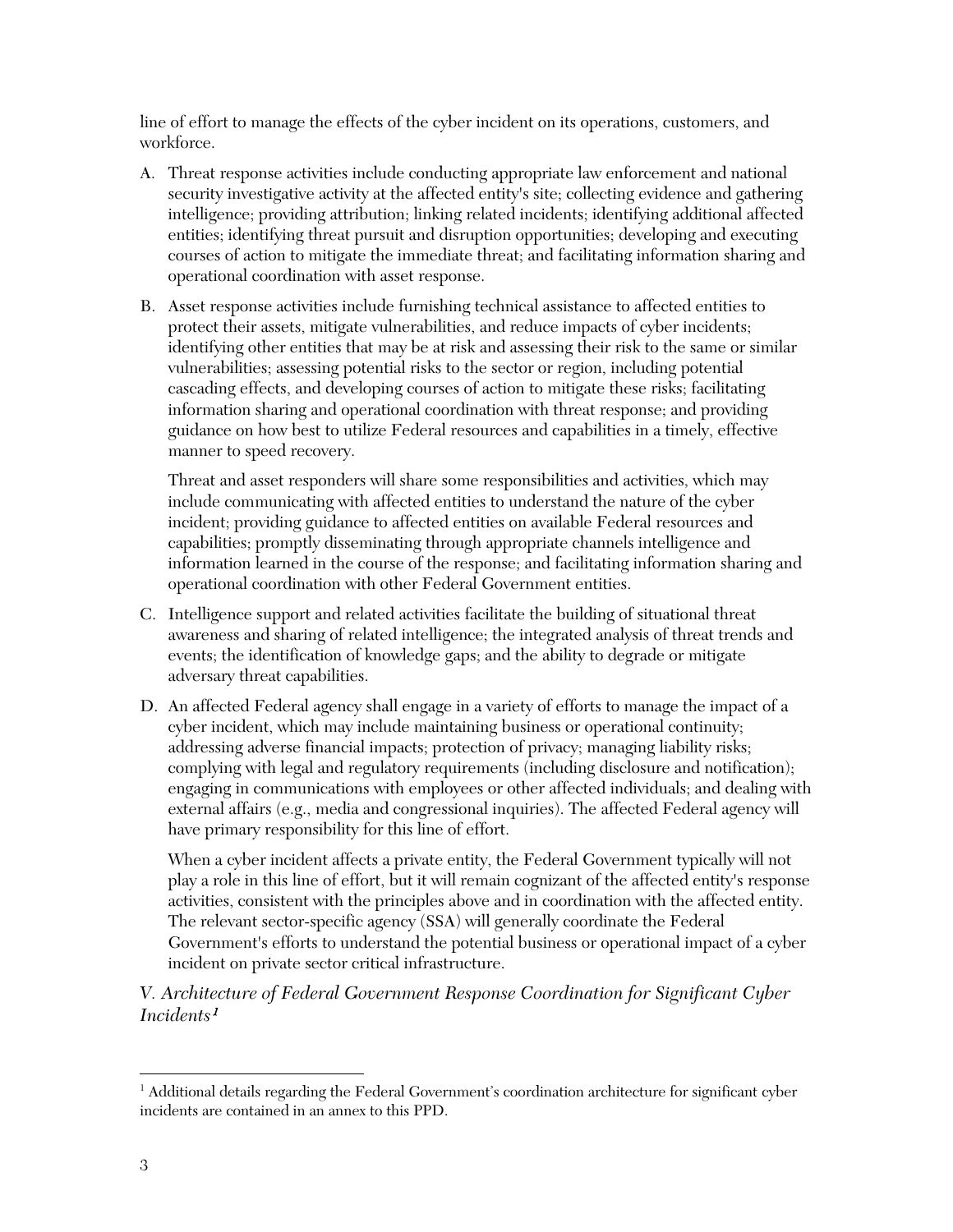line of effort to manage the effects of the cyber incident on its operations, customers, and workforce.

- A. Threat response activities include conducting appropriate law enforcement and national security investigative activity at the affected entity's site; collecting evidence and gathering intelligence; providing attribution; linking related incidents; identifying additional affected entities; identifying threat pursuit and disruption opportunities; developing and executing courses of action to mitigate the immediate threat; and facilitating information sharing and operational coordination with asset response.
- B. Asset response activities include furnishing technical assistance to affected entities to protect their assets, mitigate vulnerabilities, and reduce impacts of cyber incidents; identifying other entities that may be at risk and assessing their risk to the same or similar vulnerabilities; assessing potential risks to the sector or region, including potential cascading effects, and developing courses of action to mitigate these risks; facilitating information sharing and operational coordination with threat response; and providing guidance on how best to utilize Federal resources and capabilities in a timely, effective manner to speed recovery.

Threat and asset responders will share some responsibilities and activities, which may include communicating with affected entities to understand the nature of the cyber incident; providing guidance to affected entities on available Federal resources and capabilities; promptly disseminating through appropriate channels intelligence and information learned in the course of the response; and facilitating information sharing and operational coordination with other Federal Government entities.

- C. Intelligence support and related activities facilitate the building of situational threat awareness and sharing of related intelligence; the integrated analysis of threat trends and events; the identification of knowledge gaps; and the ability to degrade or mitigate adversary threat capabilities.
- D. An affected Federal agency shall engage in a variety of efforts to manage the impact of a cyber incident, which may include maintaining business or operational continuity; addressing adverse financial impacts; protection of privacy; managing liability risks; complying with legal and regulatory requirements (including disclosure and notification); engaging in communications with employees or other affected individuals; and dealing with external affairs (e.g., media and congressional inquiries). The affected Federal agency will have primary responsibility for this line of effort.

When a cyber incident affects a private entity, the Federal Government typically will not play a role in this line of effort, but it will remain cognizant of the affected entity's response activities, consistent with the principles above and in coordination with the affected entity. The relevant sector-specific agency (SSA) will generally coordinate the Federal Government's efforts to understand the potential business or operational impact of a cyber incident on private sector critical infrastructure.

*V. Architecture of Federal Government Response Coordination for Significant Cyber Incidents*[1](#page-5-0)

 $\overline{a}$ <sup>1</sup> Additional details regarding the Federal Government's coordination architecture for significant cyber incidents are contained in an annex to this PPD.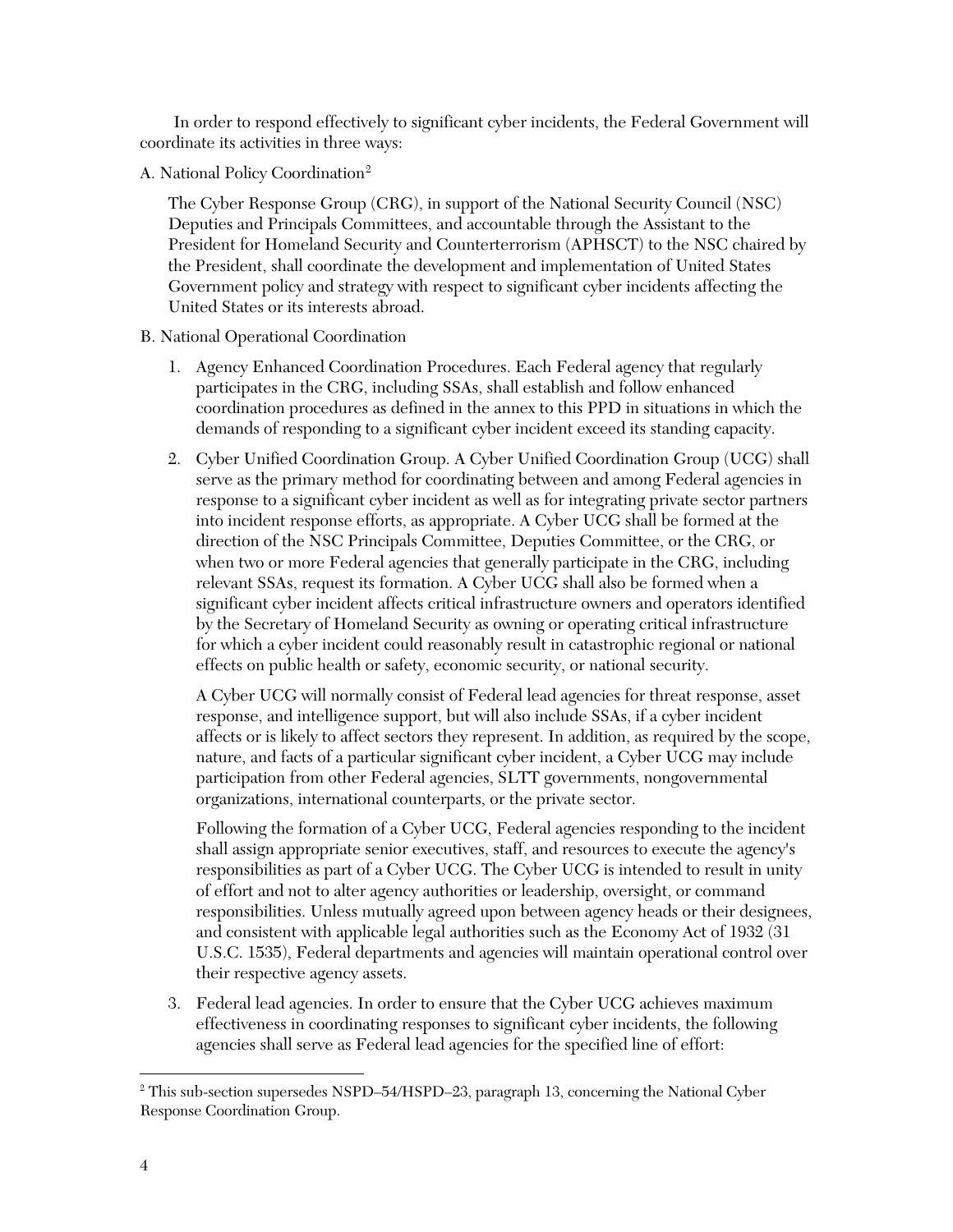In order to respond effectively to significant cyber incidents, the Federal Government will coordinate its activities in three ways:

A. National Policy Coordination<sup>[2](#page-3-0)</sup>

The Cyber Response Group (CRG), in support of the National Security Council (NSC) Deputies and Principals Committees, and accountable through the Assistant to the President for Homeland Security and Counterterrorism (APHSCT) to the NSC chaired by the President, shall coordinate the development and implementation of United States Government policy and strategy with respect to significant cyber incidents affecting the United States or its interests abroad.

## B. National Operational Coordination

- 1. Agency Enhanced Coordination Procedures. Each Federal agency that regularly participates in the CRG, including SSAs, shall establish and follow enhanced coordination procedures as defined in the annex to this PPD in situations in which the demands of responding to a significant cyber incident exceed its standing capacity.
- 2. Cyber Unified Coordination Group. A Cyber Unified Coordination Group (UCG) shall serve as the primary method for coordinating between and among Federal agencies in response to a significant cyber incident as well as for integrating private sector partners into incident response efforts, as appropriate. A Cyber UCG shall be formed at the direction of the NSC Principals Committee, Deputies Committee, or the CRG, or when two or more Federal agencies that generally participate in the CRG, including relevant SSAs, request its formation. A Cyber UCG shall also be formed when a significant cyber incident affects critical infrastructure owners and operators identified by the Secretary of Homeland Security as owning or operating critical infrastructure for which a cyber incident could reasonably result in catastrophic regional or national effects on public health or safety, economic security, or national security.

A Cyber UCG will normally consist of Federal lead agencies for threat response, asset response, and intelligence support, but will also include SSAs, if a cyber incident affects or is likely to affect sectors they represent. In addition, as required by the scope, nature, and facts of a particular significant cyber incident, a Cyber UCG may include participation from other Federal agencies, SLTT governments, nongovernmental organizations, international counterparts, or the private sector.

Following the formation of a Cyber UCG, Federal agencies responding to the incident shall assign appropriate senior executives, staff, and resources to execute the agency's responsibilities as part of a Cyber UCG. The Cyber UCG is intended to result in unity of effort and not to alter agency authorities or leadership, oversight, or command responsibilities. Unless mutually agreed upon between agency heads or their designees, and consistent with applicable legal authorities such as the Economy Act of 1932 (31 U.S.C. 1535), Federal departments and agencies will maintain operational control over their respective agency assets.

3. Federal lead agencies. In order to ensure that the Cyber UCG achieves maximum effectiveness in coordinating responses to significant cyber incidents, the following agencies shall serve as Federal lead agencies for the specified line of effort:

<span id="page-3-0"></span> $\overline{a}$ <sup>2</sup> This sub-section supersedes NSPD-54/HSPD-23, paragraph 13, concerning the National Cyber Response Coordination Group.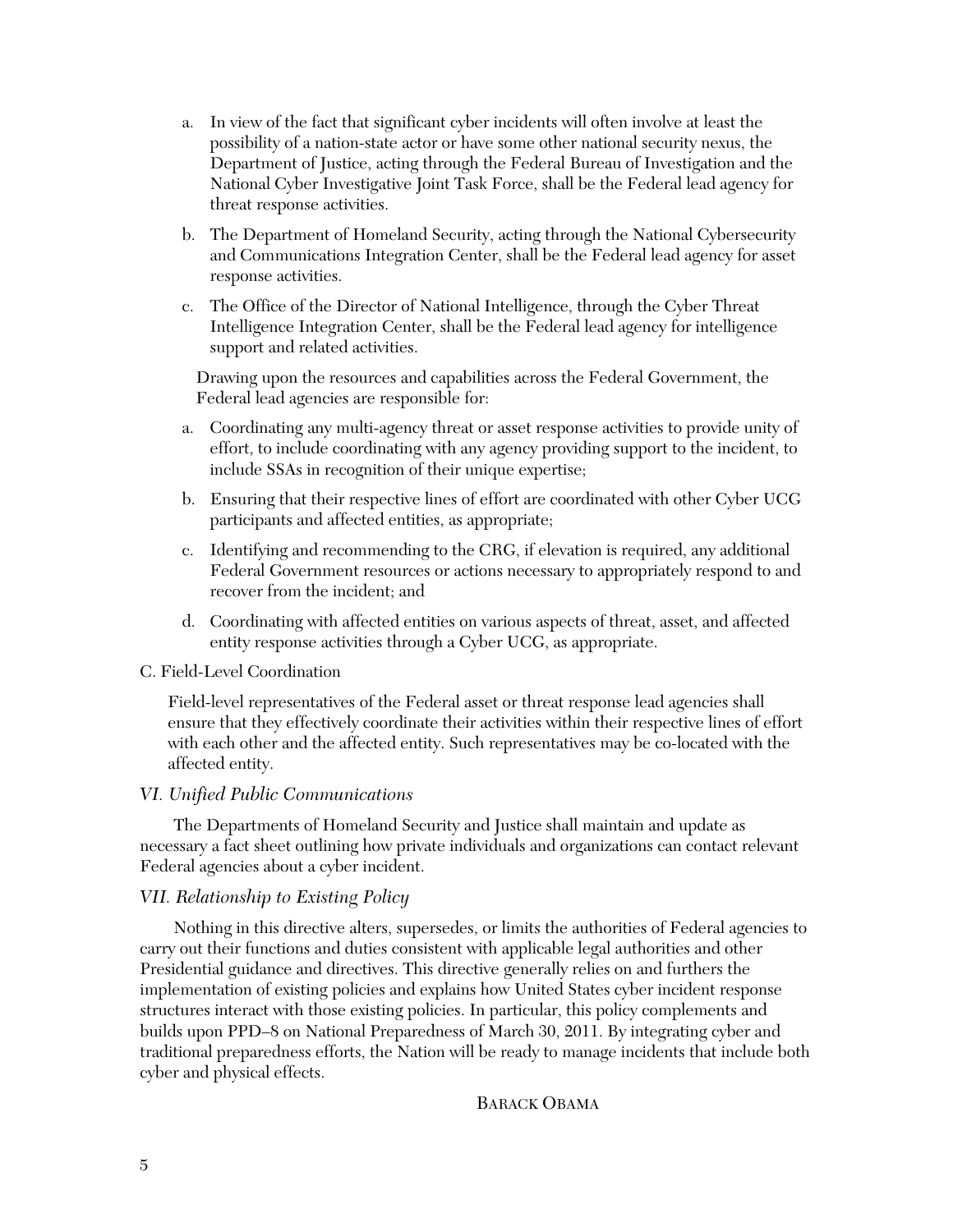- a. In view of the fact that significant cyber incidents will often involve at least the possibility of a nation-state actor or have some other national security nexus, the Department of Justice, acting through the Federal Bureau of Investigation and the National Cyber Investigative Joint Task Force, shall be the Federal lead agency for threat response activities.
- b. The Department of Homeland Security, acting through the National Cybersecurity and Communications Integration Center, shall be the Federal lead agency for asset response activities.
- c. The Office of the Director of National Intelligence, through the Cyber Threat Intelligence Integration Center, shall be the Federal lead agency for intelligence support and related activities.

Drawing upon the resources and capabilities across the Federal Government, the Federal lead agencies are responsible for:

- a. Coordinating any multi-agency threat or asset response activities to provide unity of effort, to include coordinating with any agency providing support to the incident, to include SSAs in recognition of their unique expertise;
- b. Ensuring that their respective lines of effort are coordinated with other Cyber UCG participants and affected entities, as appropriate;
- c. Identifying and recommending to the CRG, if elevation is required, any additional Federal Government resources or actions necessary to appropriately respond to and recover from the incident; and
- d. Coordinating with affected entities on various aspects of threat, asset, and affected entity response activities through a Cyber UCG, as appropriate.

### C. Field-Level Coordination

Field-level representatives of the Federal asset or threat response lead agencies shall ensure that they effectively coordinate their activities within their respective lines of effort with each other and the affected entity. Such representatives may be co-located with the affected entity.

### *VI. Unified Public Communications*

The Departments of Homeland Security and Justice shall maintain and update as necessary a fact sheet outlining how private individuals and organizations can contact relevant Federal agencies about a cyber incident.

## *VII. Relationship to Existing Policy*

Nothing in this directive alters, supersedes, or limits the authorities of Federal agencies to carry out their functions and duties consistent with applicable legal authorities and other Presidential guidance and directives. This directive generally relies on and furthers the implementation of existing policies and explains how United States cyber incident response structures interact with those existing policies. In particular, this policy complements and builds upon PPD–8 on National Preparedness of March 30, 2011. By integrating cyber and traditional preparedness efforts, the Nation will be ready to manage incidents that include both cyber and physical effects.

BARACK OBAMA